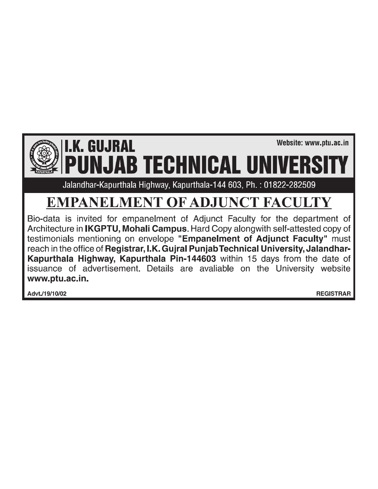# **I.K. GUJRAL** IAB TECHNICAL UNI

Jalandhar-Kapurthala Highway, Kapurthala-144 603, Ph.: 01822-282509

## **EMPANELMENT OF ADJUNCT FACULTY**

Bio-data is invited for empanelment of Adjunct Faculty for the department of Architecture in IKGPTU, Mohali Campus. Hard Copy alongwith self-attested copy of testimonials mentioning on envelope "Empanelment of Adjunct Faculty" must reach in the office of Registrar, I.K. Gujral Punjab Technical University, Jalandhar-Kapurthala Highway, Kapurthala Pin-144603 within 15 days from the date of issuance of advertisement. Details are avaliable on the University website www.ptu.ac.in.

Advt./19/10/02

**REGISTRAR** 

Website: www.ptu.ac.in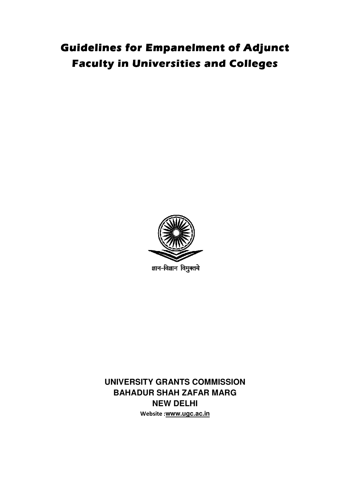### **Guidelines for Empanelment of Adjunct Faculty in Universities and Colleges**



ज्ञान-विज्ञान विमुक्तये

**UNIVERSITY GRANTS COMMISSION BAHADUR SHAH ZAFAR MARG NEW DELHI Website :www.ugc.ac.in**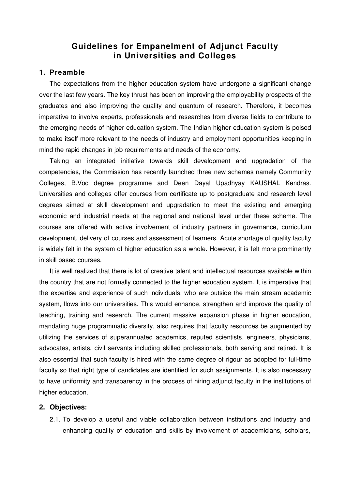#### **Guidelines for Empanelment of Adjunct Faculty in Universities and Colleges**

#### **1. Preamble**

The expectations from the higher education system have undergone a significant change over the last few years. The key thrust has been on improving the employability prospects of the graduates and also improving the quality and quantum of research. Therefore, it becomes imperative to involve experts, professionals and researches from diverse fields to contribute to the emerging needs of higher education system. The Indian higher education system is poised to make itself more relevant to the needs of industry and employment opportunities keeping in mind the rapid changes in job requirements and needs of the economy.

Taking an integrated initiative towards skill development and upgradation of the competencies, the Commission has recently launched three new schemes namely Community Colleges, B.Voc degree programme and Deen Dayal Upadhyay KAUSHAL Kendras. Universities and colleges offer courses from certificate up to postgraduate and research level degrees aimed at skill development and upgradation to meet the existing and emerging economic and industrial needs at the regional and national level under these scheme. The courses are offered with active involvement of industry partners in governance, curriculum development, delivery of courses and assessment of learners. Acute shortage of quality faculty is widely felt in the system of higher education as a whole. However, it is felt more prominently in skill based courses.

It is well realized that there is lot of creative talent and intellectual resources available within the country that are not formally connected to the higher education system. It is imperative that the expertise and experience of such individuals, who are outside the main stream academic system, flows into our universities. This would enhance, strengthen and improve the quality of teaching, training and research. The current massive expansion phase in higher education, mandating huge programmatic diversity, also requires that faculty resources be augmented by utilizing the services of superannuated academics, reputed scientists, engineers, physicians, advocates, artists, civil servants including skilled professionals, both serving and retired. It is also essential that such faculty is hired with the same degree of rigour as adopted for full-time faculty so that right type of candidates are identified for such assignments. It is also necessary to have uniformity and transparency in the process of hiring adjunct faculty in the institutions of higher education.

#### **2. Objectives:**

2.1. To develop a useful and viable collaboration between institutions and industry and enhancing quality of education and skills by involvement of academicians, scholars,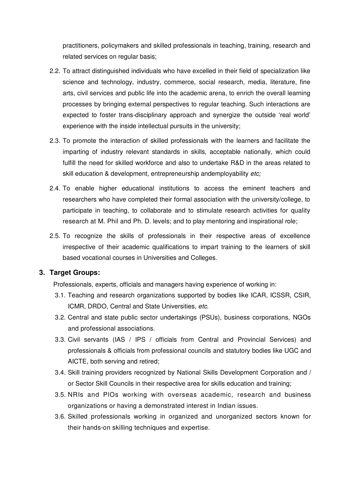practitioners, policymakers and skilled professionals in teaching, training, research and related services on regular basis;

- 2.2. To attract distinguished individuals who have excelled in their field of specialization like science and technology, industry, commerce, social research, media, literature, fine arts, civil services and public life into the academic arena, to enrich the overall learning processes by bringing external perspectives to regular teaching. Such interactions are expected to foster trans-disciplinary approach and synergize the outside 'real world' experience with the inside intellectual pursuits in the university;
- 2.3. To promote the interaction of skilled professionals with the learners and facilitate the imparting of industry relevant standards in skills, acceptable nationally, which could fulfill the need for skilled workforce and also to undertake R&D in the areas related to skill education & development, entrepreneurship andemployability etc;
- 2.4. To enable higher educational institutions to access the eminent teachers and researchers who have completed their formal association with the university/college, to participate in teaching, to collaborate and to stimulate research activities for quality research at M. Phil and Ph. D. levels; and to play mentoring and inspirational role;
- 2.5. To recognize the skills of professionals in their respective areas of excellence irrespective of their academic qualifications to impart training to the learners of skill based vocational courses in Universities and Colleges.

#### **3. Target Groups:**

Professionals, experts, officials and managers having experience of working in:

- 3.1. Teaching and research organizations supported by bodies like ICAR, ICSSR, CSIR, ICMR, DRDO, Central and State Universities, etc.
- 3.2. Central and state public sector undertakings (PSUs), business corporations, NGOs and professional associations.
- 3.3. Civil servants (IAS / IPS / officials from Central and Provincial Services) and professionals & officials from professional councils and statutory bodies like UGC and AICTE, both serving and retired;
- 3.4. Skill training providers recognized by National Skills Development Corporation and / or Sector Skill Councils in their respective area for skills education and training;
- 3.5. NRIs and PlOs working with overseas academic, research and business organizations or having a demonstrated interest in Indian issues.
- 3.6. Skilled professionals working in organized and unorganized sectors known for their hands-on skilling techniques and expertise.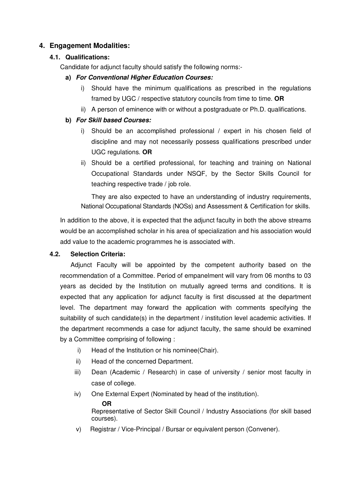#### **4. Engagement Modalities:**

#### **4.1. Qualifications:**

Candidate for adjunct faculty should satisfy the following norms:-

#### **a) For Conventional Higher Education Courses:**

- i) Should have the minimum qualifications as prescribed in the regulations framed by UGC / respective statutory councils from time to time. **OR**
- ii) A person of eminence with or without a postgraduate or Ph.D. qualifications.

#### **b) For Skill based Courses:**

- i) Should be an accomplished professional / expert in his chosen field of discipline and may not necessarily possess qualifications prescribed under UGC regulations. **OR**
- ii) Should be a certified professional, for teaching and training on National Occupational Standards under NSQF, by the Sector Skills Council for teaching respective trade / job role.

They are also expected to have an understanding of industry requirements, National Occupational Standards (NOSs) and Assessment & Certification for skills.

In addition to the above, it is expected that the adjunct faculty in both the above streams would be an accomplished scholar in his area of specialization and his association would add value to the academic programmes he is associated with.

#### **4.2. Selection Criteria:**

Adjunct Faculty will be appointed by the competent authority based on the recommendation of a Committee. Period of empanelment will vary from 06 months to 03 years as decided by the Institution on mutually agreed terms and conditions. It is expected that any application for adjunct faculty is first discussed at the department level. The department may forward the application with comments specifying the suitability of such candidate(s) in the department / institution level academic activities. If the department recommends a case for adjunct faculty, the same should be examined by a Committee comprising of following :

- i) Head of the Institution or his nominee(Chair).
- ii) Head of the concerned Department.
- iii) Dean (Academic / Research) in case of university / senior most faculty in case of college.
- iv) One External Expert (Nominated by head of the institution).
	- **OR**

Representative of Sector Skill Council / Industry Associations (for skill based courses).

v) Registrar / Vice-Principal / Bursar or equivalent person (Convener).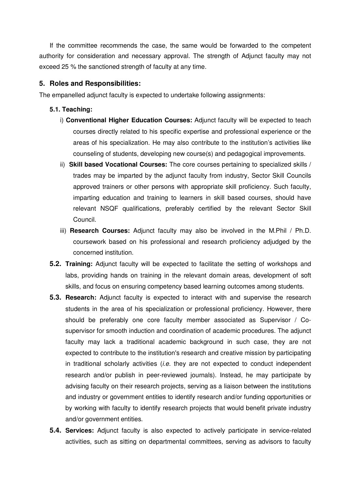If the committee recommends the case, the same would be forwarded to the competent authority for consideration and necessary approval. The strength of Adjunct faculty may not exceed 25 % the sanctioned strength of faculty at any time.

#### **5. Roles and Responsibilities:**

The empanelled adjunct faculty is expected to undertake following assignments:

#### **5.1. Teaching:**

- i) **Conventional Higher Education Courses:** Adjunct faculty will be expected to teach courses directly related to his specific expertise and professional experience or the areas of his specialization. He may also contribute to the institution's activities like counseling of students, developing new course(s) and pedagogical improvements.
- ii) **Skill based Vocational Courses:** The core courses pertaining to specialized skills / trades may be imparted by the adjunct faculty from industry, Sector Skill Councils approved trainers or other persons with appropriate skill proficiency. Such faculty, imparting education and training to learners in skill based courses, should have relevant NSQF qualifications, preferably certified by the relevant Sector Skill Council.
- iii) **Research Courses:** Adjunct faculty may also be involved in the M.Phil / Ph.D. coursework based on his professional and research proficiency adjudged by the concerned institution.
- **5.2. Training:** Adjunct faculty will be expected to facilitate the setting of workshops and labs, providing hands on training in the relevant domain areas, development of soft skills, and focus on ensuring competency based learning outcomes among students.
- **5.3. Research:** Adjunct faculty is expected to interact with and supervise the research students in the area of his specialization or professional proficiency. However, there should be preferably one core faculty member associated as Supervisor / Cosupervisor for smooth induction and coordination of academic procedures. The adjunct faculty may lack a traditional academic background in such case, they are not expected to contribute to the institution's research and creative mission by participating in traditional scholarly activities  $(i.e.$  they are not expected to conduct independent research and/or publish in peer-reviewed journals). Instead, he may participate by advising faculty on their research projects, serving as a liaison between the institutions and industry or government entities to identify research and/or funding opportunities or by working with faculty to identify research projects that would benefit private industry and/or government entities.
- **5.4. Services:** Adjunct faculty is also expected to actively participate in service-related activities, such as sitting on departmental committees, serving as advisors to faculty